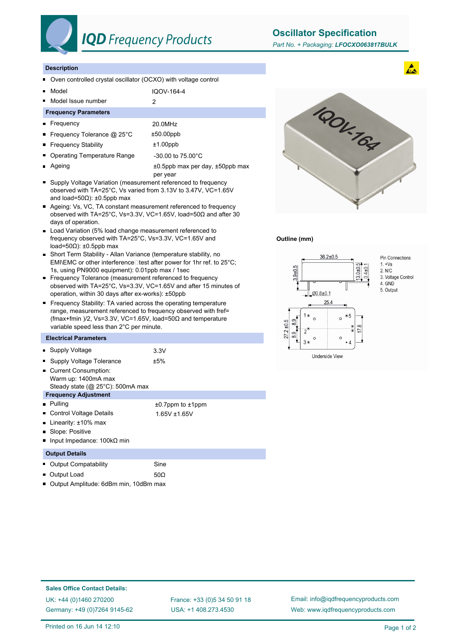

## **IQD** Frequency Products

**Oscillator Specification**

#### **Description**

- Oven controlled crystal oscillator (OCXO) with voltage control  $\blacksquare$
- Model IQOV-164-4  $\blacksquare$
- Model Issue number 2  $\blacksquare$

#### **Frequency Parameters**

- Frequency 20.0MHz ■ Frequency Tolerance @ 25°C ±50.00ppb ■ Frequency Stability **the Example 11.00ppb**
- Operating Temperature Range -30.00 to 75.00°C
- Ageing  $\pm 0.5$ ppb max per day,  $\pm 50$ ppb max o.
- per year ■ Supply Voltage Variation (measurement referenced to frequency observed with TA=25°C, Vs varied from 3.13V to 3.47V, VC=1.65V and load=50Ω): ±0.5ppb max
- Ageing: Vs, VC, TA constant measurement referenced to frequency observed with TA=25°C, Vs=3.3V, VC=1.65V, load=50Ω and after 30 days of operation.
- Load Variation (5% load change measurement referenced to frequency observed with TA=25°C, Vs=3.3V, VC=1.65V and load=50Ω): ±0.5ppb max
- Short Term Stability Allan Variance (temperature stability, no EMI\EMC or other interference $\square$  test after power for 1hr ref. to 25°C; 1s, using PN9000 equipment): 0.01ppb max / 1sec
- Frequency Tolerance (measurement referenced to frequency observed with TA=25°C, Vs=3.3V, VC=1.65V and after 15 minutes of operation, within 30 days after ex-works): ±50ppb
- **Frequency Stability: TA varied across the operating temperature** range, measurement referenced to frequency observed with fref= (fmax+fmin )/2, Vs=3.3V, VC=1.65V, load=50Ω and temperature variable speed less than 2°C per minute.

## **Electrical Parameters**

| • Supply Voltage                                                                       | 3.3V                   |
|----------------------------------------------------------------------------------------|------------------------|
| Supply Voltage Tolerance<br>п                                                          | ±5%                    |
| Current Consumption:<br>Warm up: 1400mA max<br>Steady state ( $@$ 25 $°C$ ): 500mA max |                        |
| <b>Frequency Adjustment</b>                                                            |                        |
| <b>Pulling</b>                                                                         | $±0.7$ ppm to $±1$ ppm |
| Control Voltage Details<br>■                                                           | 1.65V ±1.65V           |
| Linearity: $±10\%$ max<br>п                                                            |                        |
| ■ Slope: Positive                                                                      |                        |
| Input Impedance: $100kΩ$ min                                                           |                        |
| <b>Output Details</b>                                                                  |                        |
| <b>Output Compatability</b>                                                            | Sine                   |
| Output Load                                                                            | 50Ω                    |

**Dutput Amplitude: 6dBm min, 10dBm max** 



### **Outline (mm)**



Pin Connections 3. Voltage Control

5. Output

**Sales Office Contact Details:** UK: +44 (0)1460 270200 France: +33 (0)5 34 50 91 18

Germany: +49 (0)7264 9145-62

USA: +1 408.273.4530

Email: info@iqdfrequencyproducts.com Web: www.iqdfrequencyproducts.com